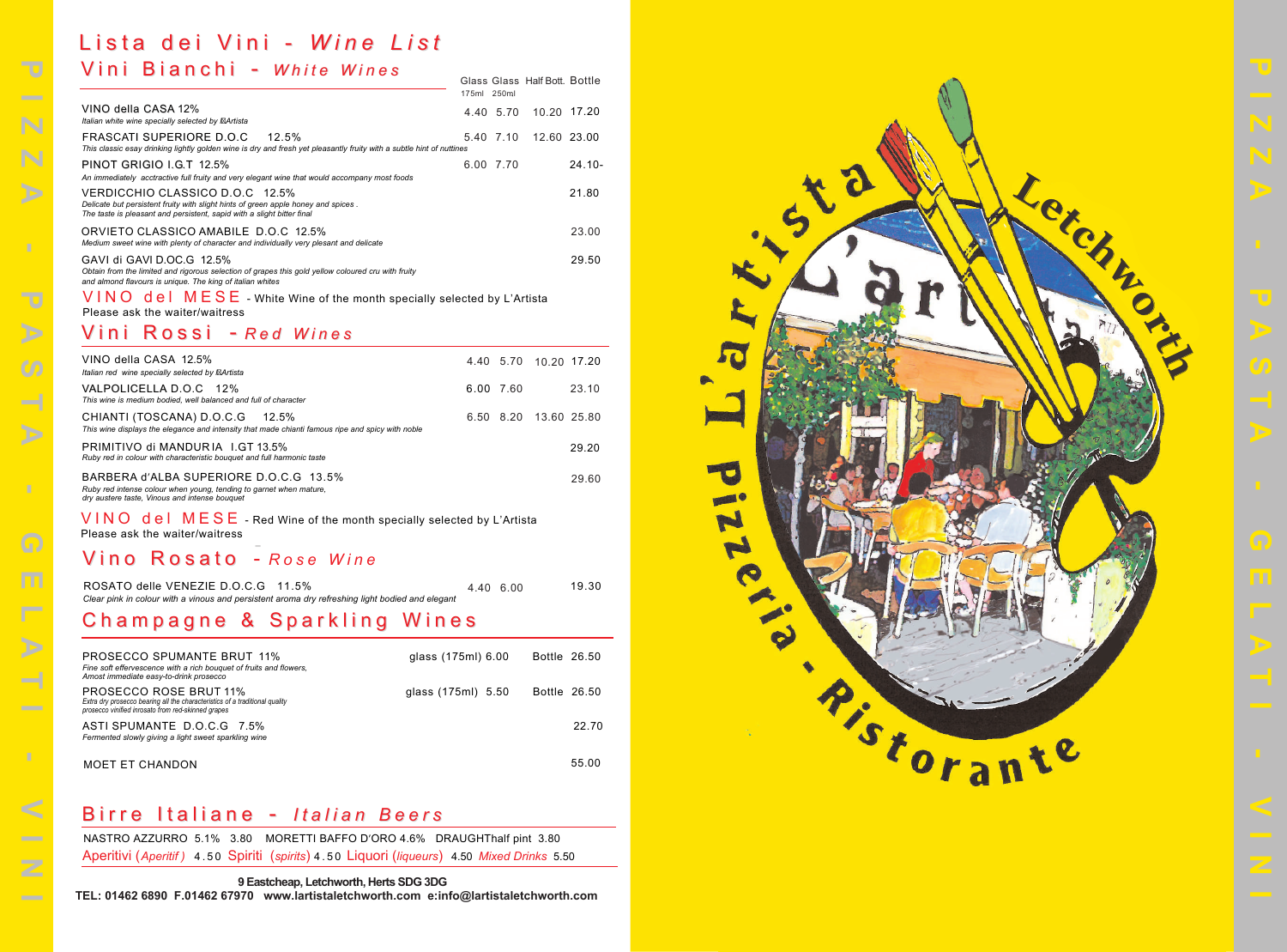

#### V ini Ross i - *Red W ine s*

## V ini Bianch i - *White W ine s* Lis t a dei V ini - *W ine Lis t*

# vino Rosato - Rose Wine

|                                                                                                                                                                                                | 175ml 250ml        |           | <b>Glass Glass Half Bott. Bottle</b> |              |
|------------------------------------------------------------------------------------------------------------------------------------------------------------------------------------------------|--------------------|-----------|--------------------------------------|--------------|
| VINO della CASA 12%<br>Italian white wine specially selected by I Artista                                                                                                                      |                    | 4.40 5.70 | 10.20 17.20                          |              |
| FRASCATI SUPERIORE D.O.C<br>12.5%<br>This classic esay drinking lightly golden wine is dry and fresh yet pleasantly fruity with a subtle hint of nuttines                                      | 5.40 7.10          |           | 12.60 23.00                          |              |
| PINOT GRIGIO I.G.T 12.5%<br>An immediately acctractive full fruity and very elegant wine that would accompany most foods                                                                       | 6.00 7.70          |           |                                      | $24.10 -$    |
| VERDICCHIO CLASSICO D.O.C 12.5%<br>Delicate but persistent fruity with slight hints of green apple honey and spices.<br>The taste is pleasant and persistent, sapid with a slight bitter final |                    |           |                                      | 21.80        |
| ORVIETO CLASSICO AMABILE D.O.C 12.5%<br>Medium sweet wine with plenty of character and individually very plesant and delicate                                                                  |                    |           |                                      | 23.00        |
| GAVI di GAVI D.OC.G 12.5%<br>Obtain from the limited and rigorous selection of grapes this gold yellow coloured cru with fruity<br>and almond flavours is unique. The king of italian whites   |                    |           |                                      | 29.50        |
| $VINO$ del $MESE$ - White Wine of the month specially selected by L'Artista<br>Please ask the waiter/waitress                                                                                  |                    |           |                                      |              |
| Rossi - Red Wines<br>Vini                                                                                                                                                                      |                    |           |                                      |              |
| VINO della CASA 12.5%<br>Italian red wine specially selected by I Artista                                                                                                                      |                    | 4.40 5.70 |                                      | 10.20 17.20  |
| VALPOLICELLA D.O.C 12%<br>This wine is medium bodied, well balanced and full of character                                                                                                      |                    | 6.00 7.60 |                                      | 23.10        |
| CHIANTI (TOSCANA) D.O.C.G<br>12.5%<br>This wine displays the elegance and intensity that made chianti famous ripe and spicy with noble                                                         |                    | 6.50 8.20 |                                      | 13.60 25.80  |
| PRIMITIVO di MANDURIA I.GT 13.5%<br>Ruby red in colour with characteristic bouquet and full harmonic taste                                                                                     |                    |           |                                      | 29.20        |
| BARBERA d'ALBA SUPERIORE D.O.C.G 13.5%<br>Ruby red intense colour when young, tending to garnet when mature,<br>dry austere taste, Vinous and intense bouquet                                  |                    |           |                                      | 29.60        |
| $VINO$ del $MESE$ - Red Wine of the month specially selected by L'Artista<br>Please ask the waiter/waitress                                                                                    |                    |           |                                      |              |
| Vino Rosato - Rose Wine                                                                                                                                                                        |                    |           |                                      |              |
| ROSATO delle VENEZIE D.O.C.G<br>11.5%<br>Clear pink in colour with a vinous and persistent aroma dry refreshing light bodied and elegant                                                       |                    | 4.40 6.00 |                                      | 19.30        |
| Champagne & Sparkling Wines                                                                                                                                                                    |                    |           |                                      |              |
| <b>PROSECCO SPUMANTE BRUT 11%</b><br>Fine soft effervescence with a rich bouquet of fruits and flowers,<br>Amost immediate easy-to-drink prosecco                                              | glass (175ml) 6.00 |           |                                      | Bottle 26.50 |
| <b>PROSECCO ROSE BRUT 11%</b><br>Extra dry prosecco bearing all the characteristics of a traditional quality                                                                                   | glass (175ml) 5.50 |           |                                      | Bottle 26.50 |
| prosecco vinified inrosato from red-skinned grapes<br>ASTI SPUMANTE D.O.C.G 7.5%<br>Fermented slowly giving a light sweet sparkling wine                                                       |                    |           |                                      | 22.70        |
| <b>MOET ET CHANDON</b>                                                                                                                                                                         |                    |           |                                      | 55.00        |

| VINO della CASA 12.5%<br>Italian red wine specially selected by I Artista                                                                                                                                                                        |           |      | 4.40 5.70 10.20 17.20 |
|--------------------------------------------------------------------------------------------------------------------------------------------------------------------------------------------------------------------------------------------------|-----------|------|-----------------------|
| VALPOLICELLA D.O.C 12%<br>This wine is medium bodied, well balanced and full of character                                                                                                                                                        | 6.00 7.60 |      | 23.10                 |
| CHIANTI (TOSCANA) D.O.C.G 12.5%<br>This wine displays the elegance and intensity that made chianti famous ripe and spicy with noble                                                                                                              | 6.50      | 8.20 | 13.60 25.80           |
| PRIMITIVO di MANDURIA I.GT 13.5%<br>Ruby red in colour with characteristic bouquet and full harmonic taste                                                                                                                                       |           |      | 29.20                 |
| BARBERA d'ALBA SUPERIORE D.O.C.G 13.5%<br>Ruby red intense colour when young, tending to garnet when mature.<br>dry austere taste. Vinous and intense bouquet                                                                                    |           |      | 29.60                 |
| VINA JAL MERE<br>$\Box$ in the contract of the contract of the contract of the contract of the contract of the contract of the contract of the contract of the contract of the contract of the contract of the contract of the contract of the c |           |      |                       |

| <b>PROSECCO SPUMANTE BRUT 11%</b><br>Fine soft effervescence with a rich bouquet of fruits and flowers,<br>Amost immediate easy-to-drink prosecco           | glass (175ml) 6.00 | Bottle 26.50 |
|-------------------------------------------------------------------------------------------------------------------------------------------------------------|--------------------|--------------|
| PROSECCO ROSE BRUT 11%<br>Extra dry prosecco bearing all the characteristics of a traditional quality<br>prosecco vinified inrosato from red-skinned grapes | glass (175ml) 5.50 | Bottle 26.50 |
| ASTI SPUMANTE D.O.C.G 7.5%<br>Fermented slowly giving a light sweet sparkling wine                                                                          |                    | 22.70        |
| MOFT FT CHANDON                                                                                                                                             |                    | 55.00        |

#### Birre Italiane - Italian Beers

NASTRO AZZURRO 5.1% 3.80 MORETTI BAFFO D'ORO 4.6% DRAUGHThalf pint 3.80 Aperitivi (Aperitif) 4.50 Spiriti (spirits) 4.50 Liquori (liqueurs) 4.50 Mixed Drinks 5.50

| ROSATO delle VENEZIE D.O.C.G 11.5%                                                              |  | 4.40 6.00 | 19.30 |
|-------------------------------------------------------------------------------------------------|--|-----------|-------|
| Clear pink in colour with a vinous and persistent aroma dry refreshing light bodied and elegant |  |           |       |

#### Champagne & Sparkling Wines

**9 Eastcheap, Letchworth, Herts SDG 3DG**

**TEL: 01462 6890 F.01462 67970 www.lartistaletchworth.com e:info@lartistaletchworth.com**